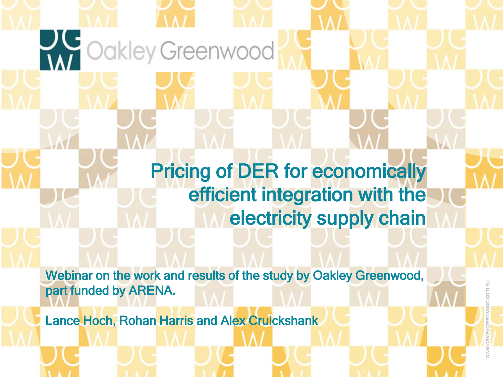Pricing of DER for economically efficient integration with the electricity supply chain

Webinar on the work and results of the study by Oakley Greenwood, part funded by ARENA.

Lance Hoch, Rohan Harris and Alex Cruickshank

**A Cokley Greenwood**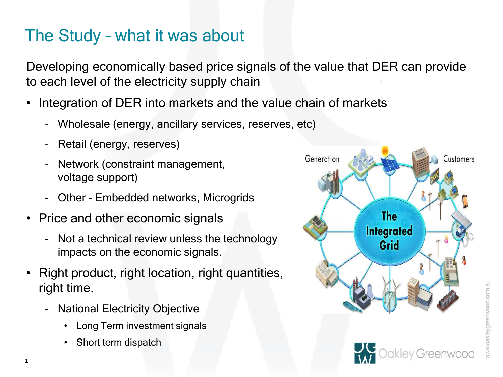### The Study – what it was about

Developing economically based price signals of the value that DER can provide to each level of the electricity supply chain

- Integration of DER into markets and the value chain of markets
	- Wholesale (energy, ancillary services, reserves, etc)
	- Retail (energy, reserves)
	- Network (constraint management, voltage support)
	- Other Embedded networks, Microgrids
- Price and other economic signals
	- Not a technical review unless the technology impacts on the economic signals.
- Right product, right location, right quantities, right time.
	- National Electricity Objective
		- Long Term investment signals
		- Short term dispatch

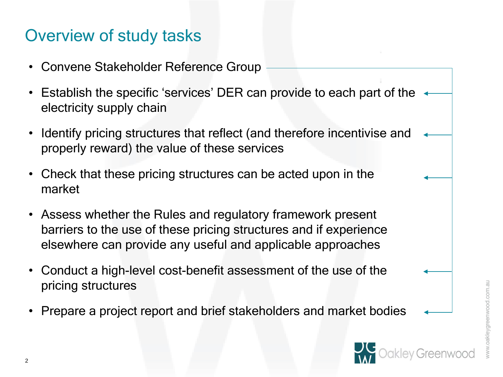### Overview of study tasks

- Convene Stakeholder Reference Group
- Establish the specific 'services' DER can provide to each part of the  $\rightarrow$ electricity supply chain
- Identify pricing structures that reflect (and therefore incentivise and properly reward) the value of these services
- Check that these pricing structures can be acted upon in the market
- Assess whether the Rules and regulatory framework present barriers to the use of these pricing structures and if experience elsewhere can provide any useful and applicable approaches
- Conduct a high-level cost-benefit assessment of the use of the pricing structures
- Prepare a project report and brief stakeholders and market bodies

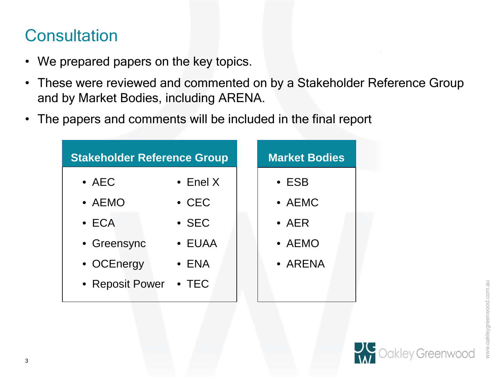### **Consultation**

- We prepared papers on the key topics.
- These were reviewed and commented on by a Stakeholder Reference Group and by Market Bodies, including ARENA.
- The papers and comments will be included in the final report

| <b>Stakeholder Reference Group</b> |                  | <b>Market Bodies</b> |  |
|------------------------------------|------------------|----------------------|--|
| $\bullet$ AEC                      | $\bullet$ Enel X | $\cdot$ ESB          |  |
| $\bullet$ AEMO                     | $\cdot$ CEC      | $\bullet$ AEMC       |  |
| $\bullet$ ECA                      | $\cdot$ SEC      | $\bullet$ AER        |  |
| • Greensync                        | • EUAA           | $\bullet$ AEMO       |  |
| • OCEnergy                         | $\bullet$ ENA    | • ARENA              |  |
| • Reposit Power                    | $\bullet$ TEC    |                      |  |

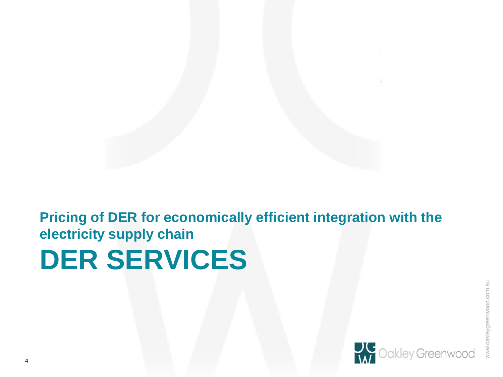**DER SERVICES Pricing of DER for economically efficient integration with the electricity supply chain**

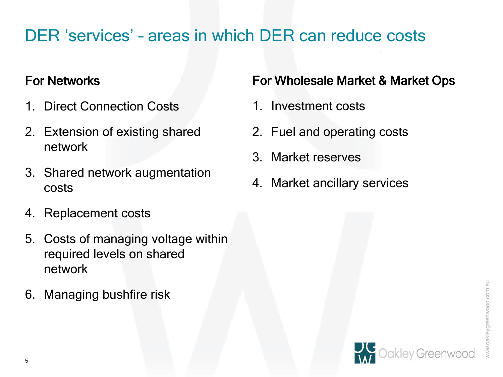### DER 'services' – areas in which DER can reduce costs

### For Networks

- 1. Direct Connection Costs
- 2. Extension of existing shared network
- 3. Shared network augmentation costs
- 4. Replacement costs
- 5. Costs of managing voltage within required levels on shared network
- 6. Managing bushfire risk

### For Wholesale Market & Market Ops

- 1. Investment costs
- 2. Fuel and operating costs
- 3. Market reserves
- 4. Market ancillary services

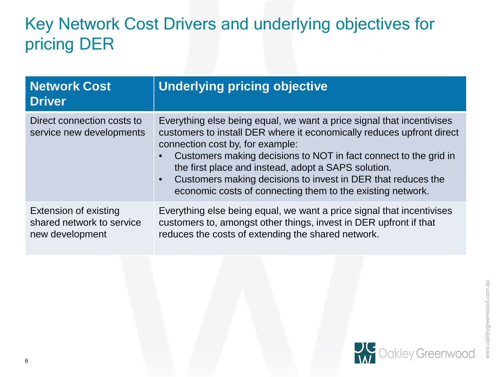## Key Network Cost Drivers and underlying objectives for pricing DER

| <b>Network Cost</b><br><b>Driver</b>                                  | <b>Underlying pricing objective</b>                                                                                                                                                                                                                                                                                                                                                                                                         |
|-----------------------------------------------------------------------|---------------------------------------------------------------------------------------------------------------------------------------------------------------------------------------------------------------------------------------------------------------------------------------------------------------------------------------------------------------------------------------------------------------------------------------------|
| Direct connection costs to<br>service new developments                | Everything else being equal, we want a price signal that incentivises<br>customers to install DER where it economically reduces upfront direct<br>connection cost by, for example:<br>Customers making decisions to NOT in fact connect to the grid in<br>the first place and instead, adopt a SAPS solution.<br>Customers making decisions to invest in DER that reduces the<br>economic costs of connecting them to the existing network. |
| Extension of existing<br>shared network to service<br>new development | Everything else being equal, we want a price signal that incentivises<br>customers to, amongst other things, invest in DER upfront if that<br>reduces the costs of extending the shared network.                                                                                                                                                                                                                                            |

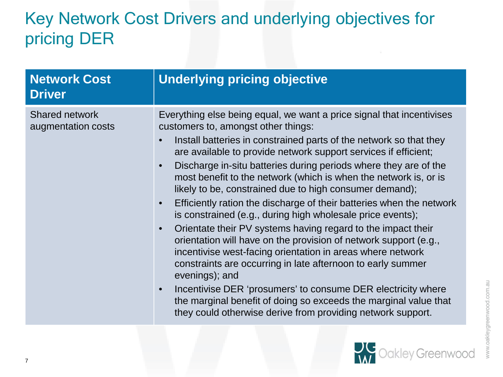# Key Network Cost Drivers and underlying objectives for pricing DER

| <b>Network Cost</b><br><b>Driver</b>        | <b>Underlying pricing objective</b>                                                                                                                                                                                                                                                                                                                                                                                                                                                                                                                                                                                                                                                                                                                                                                                                                                                                                                                                                                                                                                                  |
|---------------------------------------------|--------------------------------------------------------------------------------------------------------------------------------------------------------------------------------------------------------------------------------------------------------------------------------------------------------------------------------------------------------------------------------------------------------------------------------------------------------------------------------------------------------------------------------------------------------------------------------------------------------------------------------------------------------------------------------------------------------------------------------------------------------------------------------------------------------------------------------------------------------------------------------------------------------------------------------------------------------------------------------------------------------------------------------------------------------------------------------------|
| <b>Shared network</b><br>augmentation costs | Everything else being equal, we want a price signal that incentivises<br>customers to, amongst other things:<br>Install batteries in constrained parts of the network so that they<br>are available to provide network support services if efficient;<br>Discharge in-situ batteries during periods where they are of the<br>most benefit to the network (which is when the network is, or is<br>likely to be, constrained due to high consumer demand);<br>Efficiently ration the discharge of their batteries when the network<br>is constrained (e.g., during high wholesale price events);<br>Orientate their PV systems having regard to the impact their<br>orientation will have on the provision of network support (e.g.,<br>incentivise west-facing orientation in areas where network<br>constraints are occurring in late afternoon to early summer<br>evenings); and<br>Incentivise DER 'prosumers' to consume DER electricity where<br>the marginal benefit of doing so exceeds the marginal value that<br>they could otherwise derive from providing network support. |



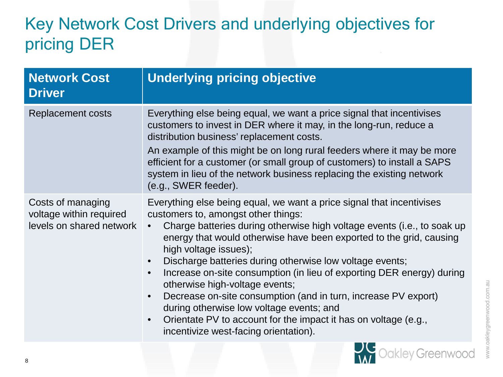# Key Network Cost Drivers and underlying objectives for pricing DER

| <b>Network Cost</b><br><b>Driver</b>                                     | <b>Underlying pricing objective</b>                                                                                                                                                                                                                                                                                                                                                                                                                                                                                                                                                                                                                                                                                             |  |
|--------------------------------------------------------------------------|---------------------------------------------------------------------------------------------------------------------------------------------------------------------------------------------------------------------------------------------------------------------------------------------------------------------------------------------------------------------------------------------------------------------------------------------------------------------------------------------------------------------------------------------------------------------------------------------------------------------------------------------------------------------------------------------------------------------------------|--|
| <b>Replacement costs</b>                                                 | Everything else being equal, we want a price signal that incentivises<br>customers to invest in DER where it may, in the long-run, reduce a<br>distribution business' replacement costs.<br>An example of this might be on long rural feeders where it may be more<br>efficient for a customer (or small group of customers) to install a SAPS<br>system in lieu of the network business replacing the existing network<br>(e.g., SWER feeder).                                                                                                                                                                                                                                                                                 |  |
| Costs of managing<br>voltage within required<br>levels on shared network | Everything else being equal, we want a price signal that incentivises<br>customers to, amongst other things:<br>Charge batteries during otherwise high voltage events (i.e., to soak up<br>energy that would otherwise have been exported to the grid, causing<br>high voltage issues);<br>Discharge batteries during otherwise low voltage events;<br>$\bullet$<br>Increase on-site consumption (in lieu of exporting DER energy) during<br>$\bullet$<br>otherwise high-voltage events;<br>Decrease on-site consumption (and in turn, increase PV export)<br>during otherwise low voltage events; and<br>Orientate PV to account for the impact it has on voltage (e.g.,<br>$\bullet$<br>incentivize west-facing orientation). |  |
|                                                                          | - 1<br>the control of the con-                                                                                                                                                                                                                                                                                                                                                                                                                                                                                                                                                                                                                                                                                                  |  |



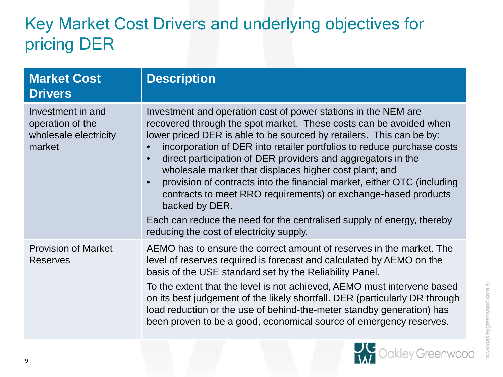## Key Market Cost Drivers and underlying objectives for pricing DER

| <b>Market Cost</b><br><b>Drivers</b>                                     | <b>Description</b>                                                                                                                                                                                                                                                                                                                                                                                                                                                                                                                                                              |  |
|--------------------------------------------------------------------------|---------------------------------------------------------------------------------------------------------------------------------------------------------------------------------------------------------------------------------------------------------------------------------------------------------------------------------------------------------------------------------------------------------------------------------------------------------------------------------------------------------------------------------------------------------------------------------|--|
| Investment in and<br>operation of the<br>wholesale electricity<br>market | Investment and operation cost of power stations in the NEM are<br>recovered through the spot market. These costs can be avoided when<br>lower priced DER is able to be sourced by retailers. This can be by:<br>incorporation of DER into retailer portfolios to reduce purchase costs<br>direct participation of DER providers and aggregators in the<br>wholesale market that displaces higher cost plant; and<br>provision of contracts into the financial market, either OTC (including<br>contracts to meet RRO requirements) or exchange-based products<br>backed by DER. |  |
|                                                                          | Each can reduce the need for the centralised supply of energy, thereby<br>reducing the cost of electricity supply.                                                                                                                                                                                                                                                                                                                                                                                                                                                              |  |
| <b>Provision of Market</b><br><b>Reserves</b>                            | AEMO has to ensure the correct amount of reserves in the market. The<br>level of reserves required is forecast and calculated by AEMO on the<br>basis of the USE standard set by the Reliability Panel.                                                                                                                                                                                                                                                                                                                                                                         |  |
|                                                                          | To the extent that the level is not achieved, AEMO must intervene based<br>on its best judgement of the likely shortfall. DER (particularly DR through<br>load reduction or the use of behind-the-meter standby generation) has<br>been proven to be a good, economical source of emergency reserves.                                                                                                                                                                                                                                                                           |  |

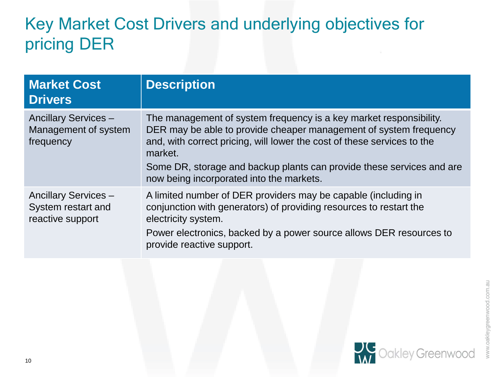## Key Market Cost Drivers and underlying objectives for pricing DER

| <b>Market Cost</b><br><b>Drivers</b>                                  | <b>Description</b>                                                                                                                                                                                                                                                                                                                                 |
|-----------------------------------------------------------------------|----------------------------------------------------------------------------------------------------------------------------------------------------------------------------------------------------------------------------------------------------------------------------------------------------------------------------------------------------|
| <b>Ancillary Services -</b><br>Management of system<br>frequency      | The management of system frequency is a key market responsibility.<br>DER may be able to provide cheaper management of system frequency<br>and, with correct pricing, will lower the cost of these services to the<br>market.<br>Some DR, storage and backup plants can provide these services and are<br>now being incorporated into the markets. |
| <b>Ancillary Services -</b><br>System restart and<br>reactive support | A limited number of DER providers may be capable (including in<br>conjunction with generators) of providing resources to restart the<br>electricity system.<br>Power electronics, backed by a power source allows DER resources to<br>provide reactive support.                                                                                    |

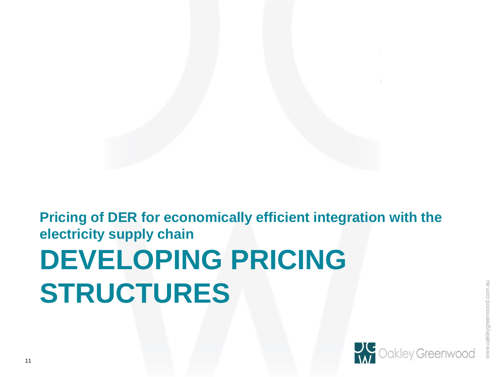# **DEVELOPING PRICING STRUCTURES Pricing of DER for economically efficient integration with the electricity supply chain**

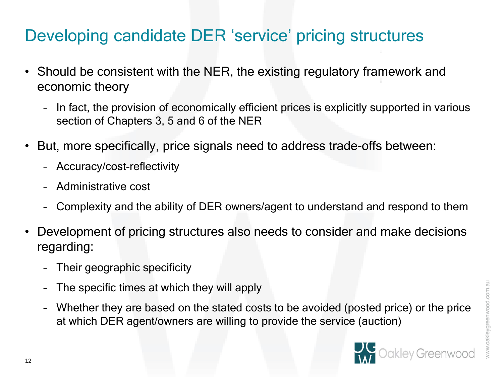### Developing candidate DER 'service' pricing structures

- Should be consistent with the NER, the existing regulatory framework and economic theory
	- In fact, the provision of economically efficient prices is explicitly supported in various section of Chapters 3, 5 and 6 of the NER
- But, more specifically, price signals need to address trade-offs between:
	- Accuracy/cost-reflectivity
	- Administrative cost
	- Complexity and the ability of DER owners/agent to understand and respond to them
- Development of pricing structures also needs to consider and make decisions regarding:
	- Their geographic specificity
	- The specific times at which they will apply
	- Whether they are based on the stated costs to be avoided (posted price) or the price at which DER agent/owners are willing to provide the service (auction)

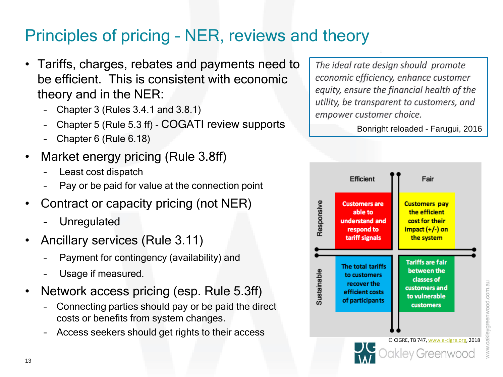### Principles of pricing – NER, reviews and theory

- Tariffs, charges, rebates and payments need to be efficient. This is consistent with economic theory and in the NER:
	- Chapter 3 (Rules 3.4.1 and 3.8.1)
	- Chapter 5 (Rule 5.3 ff) COGATI review supports
	- Chapter 6 (Rule 6.18)
- Market energy pricing (Rule 3.8ff)
	- Least cost dispatch
	- Pay or be paid for value at the connection point
- Contract or capacity pricing (not NER)
	- **Unregulated**
- Ancillary services (Rule 3.11)
	- Payment for contingency (availability) and
	- Usage if measured.
- Network access pricing (esp. Rule 5.3ff)
	- Connecting parties should pay or be paid the direct costs or benefits from system changes.
	- Access seekers should get rights to their access

The ideal rate design should promote economic efficiency, enhance customer equity, ensure the financial health of the utility, be transparent to customers, and empower customer choice.

Bonright reloaded - Farugui, 2016

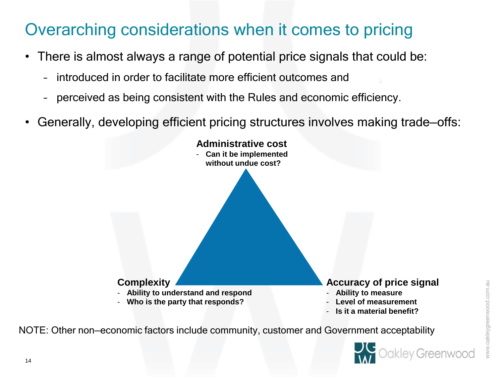### Overarching considerations when it comes to pricing

- There is almost always a range of potential price signals that could be:
	- introduced in order to facilitate more efficient outcomes and
	- perceived as being consistent with the Rules and economic efficiency.
- Generally, developing efficient pricing structures involves making trade—offs:



NOTE: Other non—economic factors include community, customer and Government acceptability

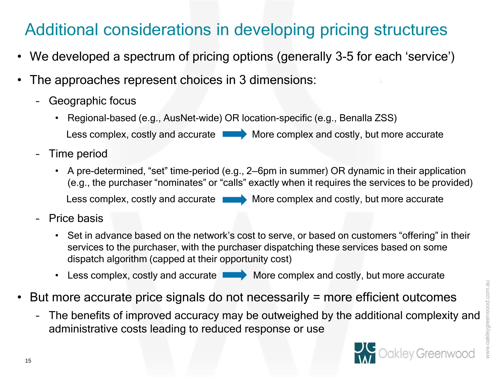# Additional considerations in developing pricing structures

- We developed a spectrum of pricing options (generally 3-5 for each 'service')
- The approaches represent choices in 3 dimensions:
	- Geographic focus
		- Regional-based (e.g., AusNet-wide) OR location-specific (e.g., Benalla ZSS)

Less complex, costly and accurate  $\blacksquare$  More complex and costly, but more accurate

- Time period
	- A pre-determined, "set" time-period (e.g., 2—6pm in summer) OR dynamic in their application (e.g., the purchaser "nominates" or "calls" exactly when it requires the services to be provided) Less complex, costly and accurate More complex and costly, but more accurate
- Price basis
	- Set in advance based on the network's cost to serve, or based on customers "offering" in their services to the purchaser, with the purchaser dispatching these services based on some dispatch algorithm (capped at their opportunity cost)
	- Less complex, costly and accurate More complex and costly, but more accurate
- But more accurate price signals do not necessarily = more efficient outcomes
	- The benefits of improved accuracy may be outweighed by the additional complexity and administrative costs leading to reduced response or use

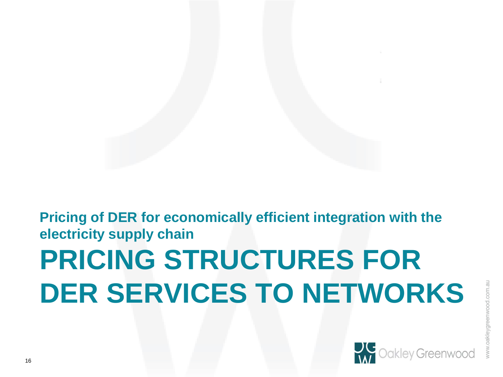# **PRICING STRUCTURES FOR DER SERVICES TO NETWORKS Pricing of DER for economically efficient integration with the electricity supply chain**

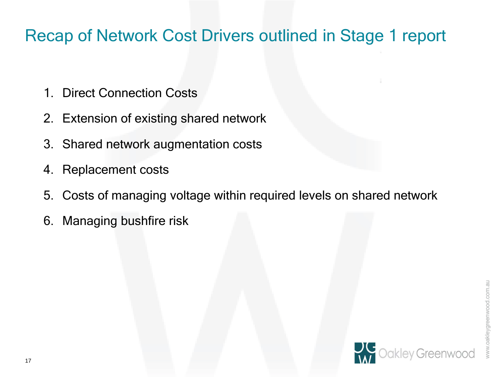### Recap of Network Cost Drivers outlined in Stage 1 report

- 1. Direct Connection Costs
- 2. Extension of existing shared network
- 3. Shared network augmentation costs
- 4. Replacement costs
- 5. Costs of managing voltage within required levels on shared network
- 6. Managing bushfire risk



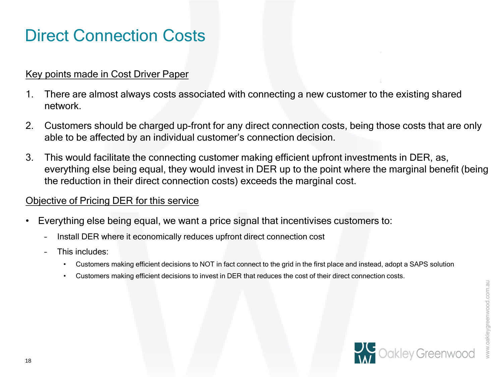### Direct Connection Costs

#### Key points made in Cost Driver Paper

- 1. There are almost always costs associated with connecting a new customer to the existing shared network.
- 2. Customers should be charged up-front for any direct connection costs, being those costs that are only able to be affected by an individual customer's connection decision.
- 3. This would facilitate the connecting customer making efficient upfront investments in DER, as, everything else being equal, they would invest in DER up to the point where the marginal benefit (being the reduction in their direct connection costs) exceeds the marginal cost.

#### Objective of Pricing DER for this service

- Everything else being equal, we want a price signal that incentivises customers to:
	- Install DER where it economically reduces upfront direct connection cost
	- This includes:
		- Customers making efficient decisions to NOT in fact connect to the grid in the first place and instead, adopt a SAPS solution
		- Customers making efficient decisions to invest in DER that reduces the cost of their direct connection costs.

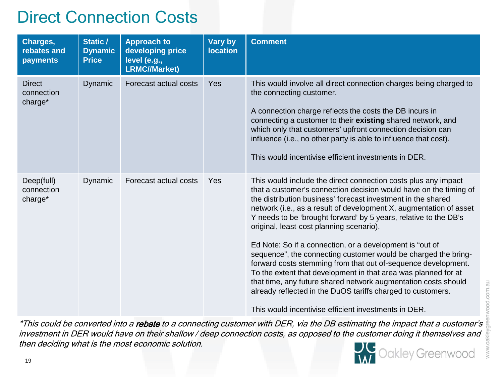### Direct Connection Costs

| Charges,<br>rebates and<br>payments    | Static /<br><b>Dynamic</b><br><b>Price</b> | <b>Approach to</b><br>developing price<br>level (e.g.,<br><b>LRMC//Market)</b> | <b>Vary by</b><br><b>location</b> | <b>Comment</b>                                                                                                                                                                                                                                                                                                                                                                                                                                                                                                                                                                                                                                                                                                                                                                                                                                      |
|----------------------------------------|--------------------------------------------|--------------------------------------------------------------------------------|-----------------------------------|-----------------------------------------------------------------------------------------------------------------------------------------------------------------------------------------------------------------------------------------------------------------------------------------------------------------------------------------------------------------------------------------------------------------------------------------------------------------------------------------------------------------------------------------------------------------------------------------------------------------------------------------------------------------------------------------------------------------------------------------------------------------------------------------------------------------------------------------------------|
| <b>Direct</b><br>connection<br>charge* | <b>Dynamic</b>                             | Forecast actual costs                                                          | Yes                               | This would involve all direct connection charges being charged to<br>the connecting customer.<br>A connection charge reflects the costs the DB incurs in<br>connecting a customer to their existing shared network, and<br>which only that customers' upfront connection decision can<br>influence (i.e., no other party is able to influence that cost).<br>This would incentivise efficient investments in DER.                                                                                                                                                                                                                                                                                                                                                                                                                                   |
| Deep(full)<br>connection<br>charge*    | Dynamic                                    | Forecast actual costs                                                          | Yes                               | This would include the direct connection costs plus any impact<br>that a customer's connection decision would have on the timing of<br>the distribution business' forecast investment in the shared<br>network (i.e., as a result of development X, augmentation of asset<br>Y needs to be 'brought forward' by 5 years, relative to the DB's<br>original, least-cost planning scenario).<br>Ed Note: So if a connection, or a development is "out of<br>sequence", the connecting customer would be charged the bring-<br>forward costs stemming from that out of-sequence development.<br>To the extent that development in that area was planned for at<br>that time, any future shared network augmentation costs should<br>already reflected in the DuOS tariffs charged to customers.<br>This would incentivise efficient investments in DER. |

\*This could be converted into a rebate to a connecting customer with DER, via the DB estimating the impact that a customer's investment in DER would have on their shallow / deep connection costs, as opposed to the customer doing it themselves and then deciding what is the most economic solution.



pod.com.au

WWW.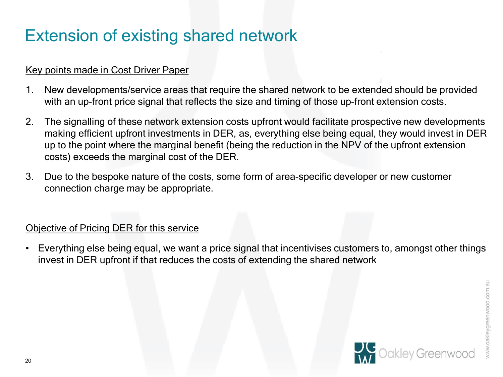### Extension of existing shared network

#### Key points made in Cost Driver Paper

- 1. New developments/service areas that require the shared network to be extended should be provided with an up-front price signal that reflects the size and timing of those up-front extension costs.
- 2. The signalling of these network extension costs upfront would facilitate prospective new developments making efficient upfront investments in DER, as, everything else being equal, they would invest in DER up to the point where the marginal benefit (being the reduction in the NPV of the upfront extension costs) exceeds the marginal cost of the DER.
- 3. Due to the bespoke nature of the costs, some form of area-specific developer or new customer connection charge may be appropriate.

#### Objective of Pricing DER for this service

• Everything else being equal, we want a price signal that incentivises customers to, amongst other things invest in DER upfront if that reduces the costs of extending the shared network

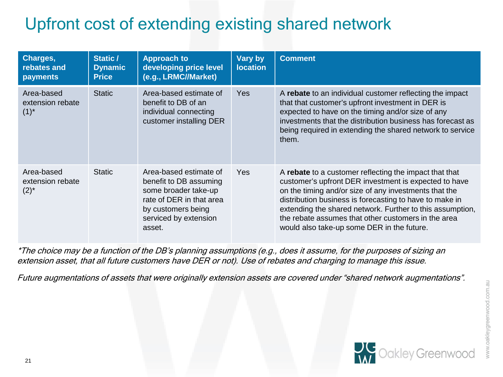# Upfront cost of extending existing shared network

| Charges,<br>rebates and<br>payments         | Static /<br><b>Dynamic</b><br><b>Price</b> | <b>Approach to</b><br>developing price level<br>(e.g., LRMC//Market)                                                                                          | Vary by<br><b>location</b> | <b>Comment</b>                                                                                                                                                                                                                                                                                                                                                                                        |
|---------------------------------------------|--------------------------------------------|---------------------------------------------------------------------------------------------------------------------------------------------------------------|----------------------------|-------------------------------------------------------------------------------------------------------------------------------------------------------------------------------------------------------------------------------------------------------------------------------------------------------------------------------------------------------------------------------------------------------|
| Area-based<br>extension rebate<br>$(1)^{*}$ | <b>Static</b>                              | Area-based estimate of<br>benefit to DB of an<br>individual connecting<br>customer installing DER                                                             | <b>Yes</b>                 | A rebate to an individual customer reflecting the impact<br>that that customer's upfront investment in DER is<br>expected to have on the timing and/or size of any<br>investments that the distribution business has forecast as<br>being required in extending the shared network to service<br>them.                                                                                                |
| Area-based<br>extension rebate<br>$(2)^{*}$ | <b>Static</b>                              | Area-based estimate of<br>benefit to DB assuming<br>some broader take-up<br>rate of DER in that area<br>by customers being<br>serviced by extension<br>asset. | Yes                        | A rebate to a customer reflecting the impact that that<br>customer's upfront DER investment is expected to have<br>on the timing and/or size of any investments that the<br>distribution business is forecasting to have to make in<br>extending the shared network. Further to this assumption,<br>the rebate assumes that other customers in the area<br>would also take-up some DER in the future. |

\*The choice may be a function of the DB's planning assumptions (e.g., does it assume, for the purposes of sizing an extension asset, that all future customers have DER or not). Use of rebates and charging to manage this issue.

Future augmentations of assets that were originally extension assets are covered under "shared network augmentations".

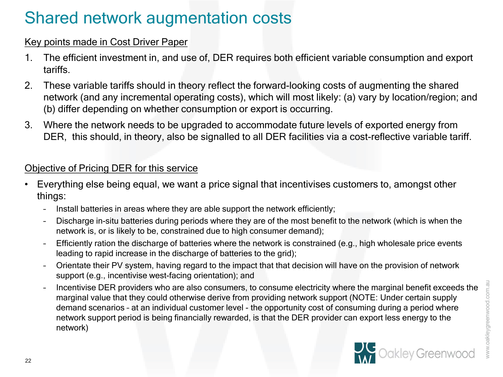### Shared network augmentation costs

#### Key points made in Cost Driver Paper

- 1. The efficient investment in, and use of, DER requires both efficient variable consumption and export tariffs.
- 2. These variable tariffs should in theory reflect the forward-looking costs of augmenting the shared network (and any incremental operating costs), which will most likely: (a) vary by location/region; and (b) differ depending on whether consumption or export is occurring.
- 3. Where the network needs to be upgraded to accommodate future levels of exported energy from DER, this should, in theory, also be signalled to all DER facilities via a cost-reflective variable tariff.

#### Objective of Pricing DER for this service

- Everything else being equal, we want a price signal that incentivises customers to, amongst other things:
	- Install batteries in areas where they are able support the network efficiently;
	- Discharge in-situ batteries during periods where they are of the most benefit to the network (which is when the network is, or is likely to be, constrained due to high consumer demand);
	- Efficiently ration the discharge of batteries where the network is constrained (e.g., high wholesale price events leading to rapid increase in the discharge of batteries to the grid);
	- Orientate their PV system, having regard to the impact that that decision will have on the provision of network support (e.g., incentivise west-facing orientation); and
	- Incentivise DER providers who are also consumers, to consume electricity where the marginal benefit exceeds the marginal value that they could otherwise derive from providing network support (NOTE: Under certain supply demand scenarios – at an individual customer level - the opportunity cost of consuming during a period where network support period is being financially rewarded, is that the DER provider can export less energy to the network)

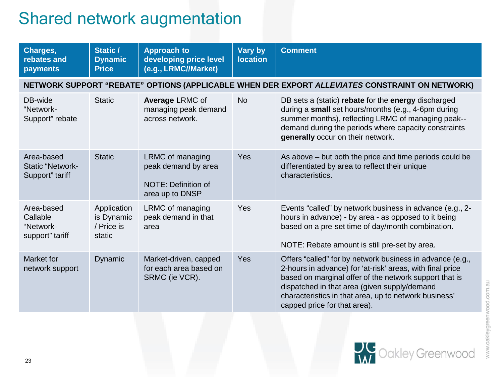### Shared network augmentation

| Charges,<br>rebates and<br>payments                      | Static /<br><b>Dynamic</b><br><b>Price</b>        | <b>Approach to</b><br>developing price level<br>(e.g., LRMC//Market)              | Vary by<br><b>location</b> | <b>Comment</b>                                                                                                                                                                                                                                                                                                            |
|----------------------------------------------------------|---------------------------------------------------|-----------------------------------------------------------------------------------|----------------------------|---------------------------------------------------------------------------------------------------------------------------------------------------------------------------------------------------------------------------------------------------------------------------------------------------------------------------|
|                                                          |                                                   |                                                                                   |                            | NETWORK SUPPORT "REBATE" OPTIONS (APPLICABLE WHEN DER EXPORT ALLEVIATES CONSTRAINT ON NETWORK)                                                                                                                                                                                                                            |
| DB-wide<br>"Network-<br>Support" rebate                  | <b>Static</b>                                     | <b>Average LRMC of</b><br>managing peak demand<br>across network.                 | <b>No</b>                  | DB sets a (static) rebate for the energy discharged<br>during a small set hours/months (e.g., 4-6pm during<br>summer months), reflecting LRMC of managing peak--<br>demand during the periods where capacity constraints<br>generally occur on their network.                                                             |
| Area-based<br><b>Static "Network-</b><br>Support" tariff | <b>Static</b>                                     | LRMC of managing<br>peak demand by area<br>NOTE: Definition of<br>area up to DNSP | <b>Yes</b>                 | As above – but both the price and time periods could be<br>differentiated by area to reflect their unique<br>characteristics.                                                                                                                                                                                             |
| Area-based<br>Callable<br>"Network-<br>support" tariff   | Application<br>is Dynamic<br>/ Price is<br>static | LRMC of managing<br>peak demand in that<br>area                                   | Yes                        | Events "called" by network business in advance (e.g., 2-<br>hours in advance) - by area - as opposed to it being<br>based on a pre-set time of day/month combination.<br>NOTE: Rebate amount is still pre-set by area.                                                                                                    |
| Market for<br>network support                            | <b>Dynamic</b>                                    | Market-driven, capped<br>for each area based on<br>SRMC (ie VCR).                 | <b>Yes</b>                 | Offers "called" for by network business in advance (e.g.,<br>2-hours in advance) for 'at-risk' areas, with final price<br>based on marginal offer of the network support that is<br>dispatched in that area (given supply/demand<br>characteristics in that area, up to network business'<br>capped price for that area). |

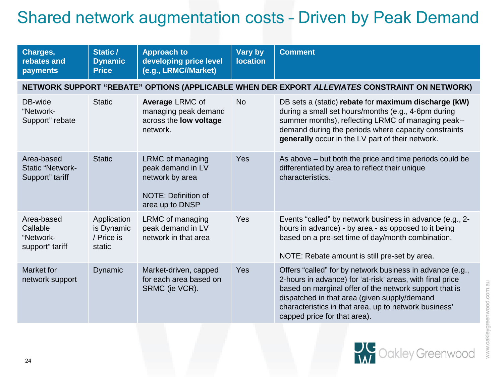### Shared network augmentation costs – Driven by Peak Demand

| Charges,<br>rebates and<br>payments                      | Static /<br><b>Dynamic</b><br><b>Price</b>        | <b>Approach to</b><br>developing price level<br>(e.g., LRMC//Market)                               | <b>Vary by</b><br><b>location</b> | <b>Comment</b>                                                                                                                                                                                                                                                                                                            |
|----------------------------------------------------------|---------------------------------------------------|----------------------------------------------------------------------------------------------------|-----------------------------------|---------------------------------------------------------------------------------------------------------------------------------------------------------------------------------------------------------------------------------------------------------------------------------------------------------------------------|
|                                                          |                                                   |                                                                                                    |                                   | NETWORK SUPPORT "REBATE" OPTIONS (APPLICABLE WHEN DER EXPORT ALLEVIATES CONSTRAINT ON NETWORK)                                                                                                                                                                                                                            |
| DB-wide<br>"Network-<br>Support" rebate                  | <b>Static</b>                                     | <b>Average LRMC of</b><br>managing peak demand<br>across the <b>low voltage</b><br>network.        | <b>No</b>                         | DB sets a (static) rebate for maximum discharge (kW)<br>during a small set hours/months (e.g., 4-6pm during<br>summer months), reflecting LRMC of managing peak--<br>demand during the periods where capacity constraints<br>generally occur in the LV part of their network.                                             |
| Area-based<br><b>Static "Network-</b><br>Support" tariff | <b>Static</b>                                     | LRMC of managing<br>peak demand in LV<br>network by area<br>NOTE: Definition of<br>area up to DNSP | Yes                               | As above - but both the price and time periods could be<br>differentiated by area to reflect their unique<br>characteristics.                                                                                                                                                                                             |
| Area-based<br>Callable<br>"Network-<br>support" tariff   | Application<br>is Dynamic<br>/ Price is<br>static | LRMC of managing<br>peak demand in LV<br>network in that area                                      | Yes                               | Events "called" by network business in advance (e.g., 2-<br>hours in advance) - by area - as opposed to it being<br>based on a pre-set time of day/month combination.<br>NOTE: Rebate amount is still pre-set by area.                                                                                                    |
| Market for<br>network support                            | Dynamic                                           | Market-driven, capped<br>for each area based on<br>SRMC (ie VCR).                                  | Yes                               | Offers "called" for by network business in advance (e.g.,<br>2-hours in advance) for 'at-risk' areas, with final price<br>based on marginal offer of the network support that is<br>dispatched in that area (given supply/demand<br>characteristics in that area, up to network business'<br>capped price for that area). |

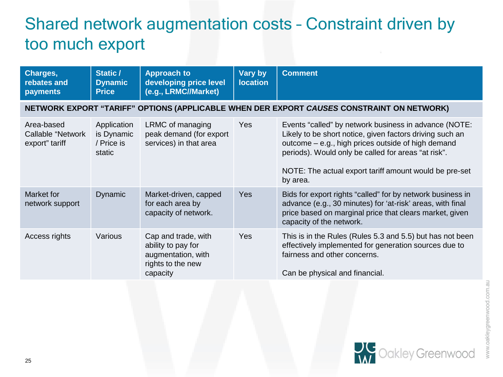### Shared network augmentation costs – Constraint driven by too much export

| Charges,<br>rebates and<br>payments               | Static /<br><b>Dynamic</b><br><b>Price</b>        | <b>Approach to</b><br>developing price level<br>(e.g., LRMC//Market)                             | Vary by<br><b>location</b> | <b>Comment</b>                                                                                                                                                                                                                                                                                       |
|---------------------------------------------------|---------------------------------------------------|--------------------------------------------------------------------------------------------------|----------------------------|------------------------------------------------------------------------------------------------------------------------------------------------------------------------------------------------------------------------------------------------------------------------------------------------------|
|                                                   |                                                   |                                                                                                  |                            | NETWORK EXPORT "TARIFF" OPTIONS (APPLICABLE WHEN DER EXPORT CAUSES CONSTRAINT ON NETWORK)                                                                                                                                                                                                            |
| Area-based<br>Callable "Network<br>export" tariff | Application<br>is Dynamic<br>/ Price is<br>static | LRMC of managing<br>peak demand (for export<br>services) in that area                            | <b>Yes</b>                 | Events "called" by network business in advance (NOTE:<br>Likely to be short notice, given factors driving such an<br>outcome – e.g., high prices outside of high demand<br>periods). Would only be called for areas "at risk".<br>NOTE: The actual export tariff amount would be pre-set<br>by area. |
| Market for<br>network support                     | <b>Dynamic</b>                                    | Market-driven, capped<br>for each area by<br>capacity of network.                                | <b>Yes</b>                 | Bids for export rights "called" for by network business in<br>advance (e.g., 30 minutes) for 'at-risk' areas, with final<br>price based on marginal price that clears market, given<br>capacity of the network.                                                                                      |
| Access rights                                     | Various                                           | Cap and trade, with<br>ability to pay for<br>augmentation, with<br>rights to the new<br>capacity | Yes                        | This is in the Rules (Rules 5.3 and 5.5) but has not been<br>effectively implemented for generation sources due to<br>fairness and other concerns.<br>Can be physical and financial.                                                                                                                 |

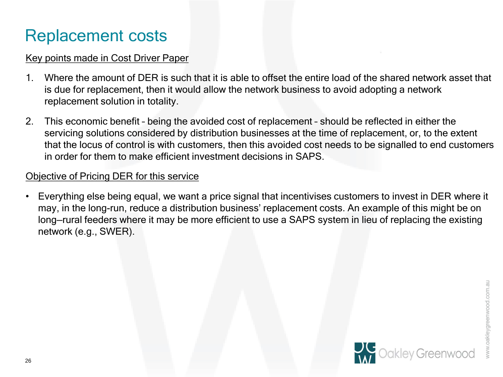### Replacement costs

#### Key points made in Cost Driver Paper

- 1. Where the amount of DER is such that it is able to offset the entire load of the shared network asset that is due for replacement, then it would allow the network business to avoid adopting a network replacement solution in totality.
- 2. This economic benefit being the avoided cost of replacement should be reflected in either the servicing solutions considered by distribution businesses at the time of replacement, or, to the extent that the locus of control is with customers, then this avoided cost needs to be signalled to end customers in order for them to make efficient investment decisions in SAPS.

#### Objective of Pricing DER for this service

• Everything else being equal, we want a price signal that incentivises customers to invest in DER where it may, in the long-run, reduce a distribution business' replacement costs. An example of this might be on long—rural feeders where it may be more efficient to use a SAPS system in lieu of replacing the existing network (e.g., SWER).

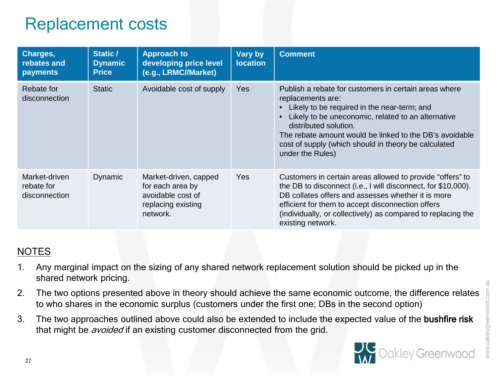### Replacement costs

| Charges,<br>rebates and<br><b>payments</b>   | Static /<br><b>Dynamic</b><br><b>Price</b> | <b>Approach to</b><br>developing price level<br>(e.g., LRMC//Market)                             | Vary by<br><b>location</b> | <b>Comment</b>                                                                                                                                                                                                                                                                                                                                                 |
|----------------------------------------------|--------------------------------------------|--------------------------------------------------------------------------------------------------|----------------------------|----------------------------------------------------------------------------------------------------------------------------------------------------------------------------------------------------------------------------------------------------------------------------------------------------------------------------------------------------------------|
| Rebate for<br>disconnection                  | <b>Static</b>                              | Avoidable cost of supply                                                                         | <b>Yes</b>                 | Publish a rebate for customers in certain areas where<br>replacements are:<br>• Likely to be required in the near-term; and<br>Likely to be uneconomic, related to an alternative<br>$\bullet$<br>distributed solution.<br>The rebate amount would be linked to the DB's avoidable<br>cost of supply (which should in theory be calculated<br>under the Rules) |
| Market-driven<br>rebate for<br>disconnection | Dynamic                                    | Market-driven, capped<br>for each area by<br>avoidable cost of<br>replacing existing<br>network. | Yes                        | Customers in certain areas allowed to provide "offers" to<br>the DB to disconnect (i.e., I will disconnect, for \$10,000).<br>DB collates offers and assesses whether it is more<br>efficient for them to accept disconnection offers<br>(individually, or collectively) as compared to replacing the<br>existing network.                                     |

#### NOTES

- 1. Any marginal impact on the sizing of any shared network replacement solution should be picked up in the shared network pricing.
- 2. The two options presented above in theory should achieve the same economic outcome, the difference relates to who shares in the economic surplus (customers under the first one; DBs in the second option)
- 3. The two approaches outlined above could also be extended to include the expected value of the bushfire risk that might be *avoided* if an existing customer disconnected from the grid.

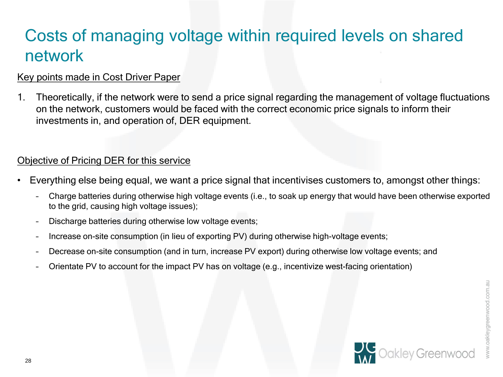## Costs of managing voltage within required levels on shared network

#### Key points made in Cost Driver Paper

1. Theoretically, if the network were to send a price signal regarding the management of voltage fluctuations on the network, customers would be faced with the correct economic price signals to inform their investments in, and operation of, DER equipment.

#### Objective of Pricing DER for this service

- Everything else being equal, we want a price signal that incentivises customers to, amongst other things:
	- Charge batteries during otherwise high voltage events (i.e., to soak up energy that would have been otherwise exported to the grid, causing high voltage issues);
	- Discharge batteries during otherwise low voltage events;
	- Increase on-site consumption (in lieu of exporting PV) during otherwise high-voltage events;
	- Decrease on-site consumption (and in turn, increase PV export) during otherwise low voltage events; and
	- Orientate PV to account for the impact PV has on voltage (e.g., incentivize west-facing orientation)

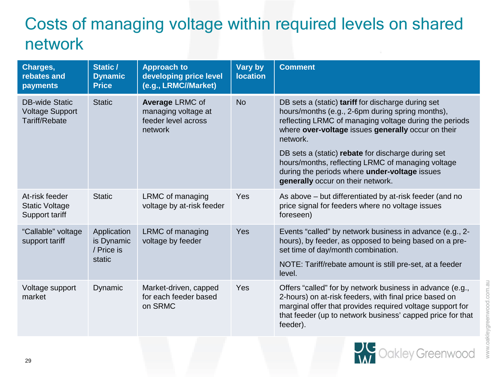# Costs of managing voltage within required levels on shared network

| Charges,<br>rebates and<br>payments                              | Static /<br><b>Dynamic</b><br><b>Price</b>        | <b>Approach to</b><br>developing price level<br>(e.g., LRMC//Market)     | <b>Vary by</b><br><b>location</b> | <b>Comment</b>                                                                                                                                                                                                                                             |
|------------------------------------------------------------------|---------------------------------------------------|--------------------------------------------------------------------------|-----------------------------------|------------------------------------------------------------------------------------------------------------------------------------------------------------------------------------------------------------------------------------------------------------|
| <b>DB-wide Static</b><br><b>Voltage Support</b><br>Tariff/Rebate | <b>Static</b>                                     | Average LRMC of<br>managing voltage at<br>feeder level across<br>network | <b>No</b>                         | DB sets a (static) tariff for discharge during set<br>hours/months (e.g., 2-6pm during spring months),<br>reflecting LRMC of managing voltage during the periods<br>where over-voltage issues generally occur on their<br>network.                         |
|                                                                  |                                                   |                                                                          |                                   | DB sets a (static) rebate for discharge during set<br>hours/months, reflecting LRMC of managing voltage<br>during the periods where under-voltage issues<br>generally occur on their network.                                                              |
| At-risk feeder<br><b>Static Voltage</b><br>Support tariff        | <b>Static</b>                                     | LRMC of managing<br>voltage by at-risk feeder                            | Yes                               | As above - but differentiated by at-risk feeder (and no<br>price signal for feeders where no voltage issues<br>foreseen)                                                                                                                                   |
| "Callable" voltage<br>support tariff                             | Application<br>is Dynamic<br>/ Price is<br>static | LRMC of managing<br>voltage by feeder                                    | Yes                               | Events "called" by network business in advance (e.g., 2-<br>hours), by feeder, as opposed to being based on a pre-<br>set time of day/month combination.                                                                                                   |
|                                                                  |                                                   |                                                                          |                                   | NOTE: Tariff/rebate amount is still pre-set, at a feeder<br>level.                                                                                                                                                                                         |
| Voltage support<br>market                                        | Dynamic                                           | Market-driven, capped<br>for each feeder based<br>on SRMC                | Yes                               | Offers "called" for by network business in advance (e.g.,<br>2-hours) on at-risk feeders, with final price based on<br>marginal offer that provides required voltage support for<br>that feeder (up to network business' capped price for that<br>feeder). |

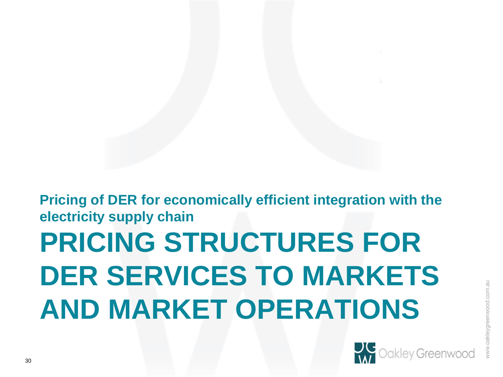# **PRICING STRUCTURES FOR DER SERVICES TO MARKETS AND MARKET OPERATIONS Pricing of DER for economically efficient integration with the electricity supply chain**

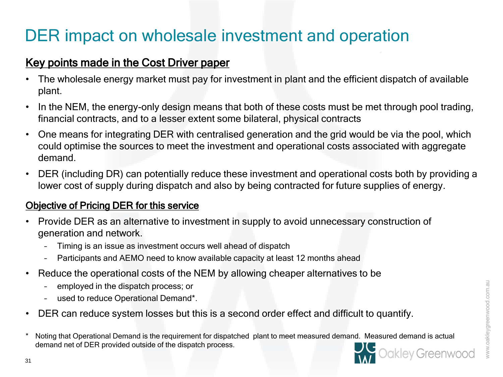### DER impact on wholesale investment and operation

### Key points made in the Cost Driver paper

- The wholesale energy market must pay for investment in plant and the efficient dispatch of available plant.
- In the NEM, the energy-only design means that both of these costs must be met through pool trading, financial contracts, and to a lesser extent some bilateral, physical contracts
- One means for integrating DER with centralised generation and the grid would be via the pool, which could optimise the sources to meet the investment and operational costs associated with aggregate demand.
- DER (including DR) can potentially reduce these investment and operational costs both by providing a lower cost of supply during dispatch and also by being contracted for future supplies of energy.

#### Objective of Pricing DER for this service

- Provide DER as an alternative to investment in supply to avoid unnecessary construction of generation and network.
	- Timing is an issue as investment occurs well ahead of dispatch
	- Participants and AEMO need to know available capacity at least 12 months ahead
- Reduce the operational costs of the NEM by allowing cheaper alternatives to be
	- employed in the dispatch process; or
	- used to reduce Operational Demand\*.
- DER can reduce system losses but this is a second order effect and difficult to quantify.
- \* Noting that Operational Demand is the requirement for dispatched plant to meet measured demand. Measured demand is actual demand net of DER provided outside of the dispatch process.

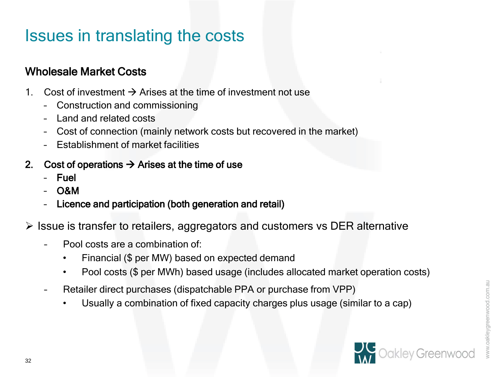### Issues in translating the costs

### Wholesale Market Costs

- 1. Cost of investment  $\rightarrow$  Arises at the time of investment not use
	- Construction and commissioning
	- Land and related costs
	- Cost of connection (mainly network costs but recovered in the market)
	- Establishment of market facilities

#### 2. Cost of operations  $\rightarrow$  Arises at the time of use

- Fuel
- O&M
- Licence and participation (both generation and retail)
- $\triangleright$  Issue is transfer to retailers, aggregators and customers vs DER alternative
	- Pool costs are a combination of:
		- Financial (\$ per MW) based on expected demand
		- Pool costs (\$ per MWh) based usage (includes allocated market operation costs)
	- Retailer direct purchases (dispatchable PPA or purchase from VPP)
		- Usually a combination of fixed capacity charges plus usage (similar to a cap)

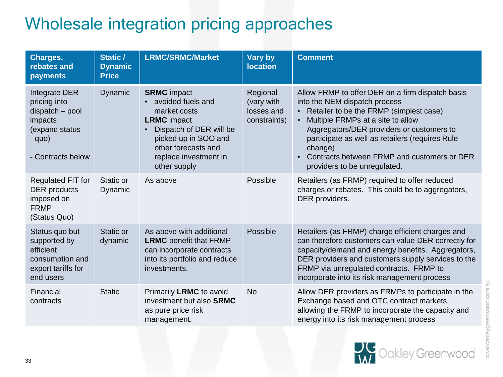## Wholesale integration pricing approaches

| Charges,<br>rebates and<br>payments                                                                        | Static /<br><b>Dynamic</b><br><b>Price</b> | <b>LRMC/SRMC/Market</b>                                                                                                                                                                                       | <b>Vary by</b><br><b>location</b>                    | <b>Comment</b>                                                                                                                                                                                                                                                                                                                                                           |
|------------------------------------------------------------------------------------------------------------|--------------------------------------------|---------------------------------------------------------------------------------------------------------------------------------------------------------------------------------------------------------------|------------------------------------------------------|--------------------------------------------------------------------------------------------------------------------------------------------------------------------------------------------------------------------------------------------------------------------------------------------------------------------------------------------------------------------------|
| Integrate DER<br>pricing into<br>dispatch - pool<br>impacts<br>(expand status<br>quo)<br>- Contracts below | Dynamic                                    | <b>SRMC</b> impact<br>avoided fuels and<br>market costs<br><b>LRMC</b> impact<br>Dispatch of DER will be<br>$\bullet$<br>picked up in SOO and<br>other forecasts and<br>replace investment in<br>other supply | Regional<br>(vary with<br>losses and<br>constraints) | Allow FRMP to offer DER on a firm dispatch basis<br>into the NEM dispatch process<br>Retailer to be the FRMP (simplest case)<br>$\bullet$<br>Multiple FRMPs at a site to allow<br>Aggregators/DER providers or customers to<br>participate as well as retailers (requires Rule<br>change)<br>Contracts between FRMP and customers or DER<br>providers to be unregulated. |
| Regulated FIT for<br><b>DER</b> products<br>imposed on<br><b>FRMP</b><br>(Status Quo)                      | Static or<br>Dynamic                       | As above                                                                                                                                                                                                      | Possible                                             | Retailers (as FRMP) required to offer reduced<br>charges or rebates. This could be to aggregators,<br>DER providers.                                                                                                                                                                                                                                                     |
| Status quo but<br>supported by<br>efficient<br>consumption and<br>export tariffs for<br>end users          | Static or<br>dynamic                       | As above with additional<br><b>LRMC</b> benefit that FRMP<br>can incorporate contracts<br>into its portfolio and reduce<br>investments.                                                                       | Possible                                             | Retailers (as FRMP) charge efficient charges and<br>can therefore customers can value DER correctly for<br>capacity/demand and energy benefits. Aggregators,<br>DER providers and customers supply services to the<br>FRMP via unregulated contracts. FRMP to<br>incorporate into its risk management process                                                            |
| Financial<br>contracts                                                                                     | <b>Static</b>                              | Primarily LRMC to avoid<br>investment but also <b>SRMC</b><br>as pure price risk<br>management.                                                                                                               | <b>No</b>                                            | Allow DER providers as FRMPs to participate in the<br>Exchange based and OTC contract markets,<br>allowing the FRMP to incorporate the capacity and<br>energy into its risk management process                                                                                                                                                                           |



www.oakleygreenwood.com.au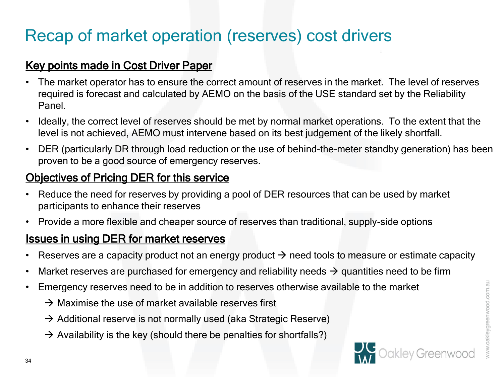## Recap of market operation (reserves) cost drivers

### Key points made in Cost Driver Paper

- The market operator has to ensure the correct amount of reserves in the market. The level of reserves required is forecast and calculated by AEMO on the basis of the USE standard set by the Reliability Panel.
- Ideally, the correct level of reserves should be met by normal market operations. To the extent that the level is not achieved, AEMO must intervene based on its best judgement of the likely shortfall.
- DER (particularly DR through load reduction or the use of behind-the-meter standby generation) has been proven to be a good source of emergency reserves.

### Objectives of Pricing DER for this service

- Reduce the need for reserves by providing a pool of DER resources that can be used by market participants to enhance their reserves
- Provide a more flexible and cheaper source of reserves than traditional, supply-side options

### Issues in using DER for market reserves

- Reserves are a capacity product not an energy product  $\rightarrow$  need tools to measure or estimate capacity
- Market reserves are purchased for emergency and reliability needs  $\rightarrow$  quantities need to be firm
- Emergency reserves need to be in addition to reserves otherwise available to the market
	- $\rightarrow$  Maximise the use of market available reserves first
	- $\rightarrow$  Additional reserve is not normally used (aka Strategic Reserve)
	- $\rightarrow$  Availability is the key (should there be penalties for shortfalls?)

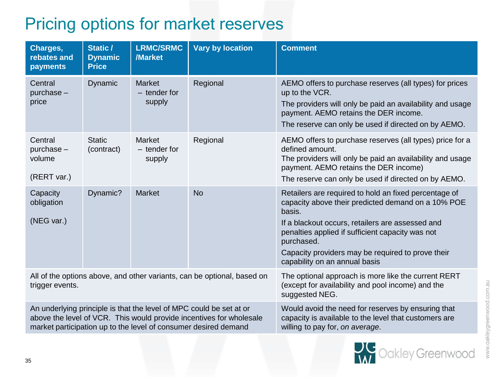# Pricing options for market reserves

| Charges,<br>rebates and<br>payments                                                                                                                                                                           | Static /<br><b>Dynamic</b><br><b>Price</b> | <b>LRMC/SRMC</b><br>/Market               | <b>Vary by location</b> | <b>Comment</b>                                                                                                                                                                                                                                                                                                                    |
|---------------------------------------------------------------------------------------------------------------------------------------------------------------------------------------------------------------|--------------------------------------------|-------------------------------------------|-------------------------|-----------------------------------------------------------------------------------------------------------------------------------------------------------------------------------------------------------------------------------------------------------------------------------------------------------------------------------|
| Central<br>purchase-<br>price                                                                                                                                                                                 | Dynamic                                    | <b>Market</b><br>$-$ tender for<br>supply | Regional                | AEMO offers to purchase reserves (all types) for prices<br>up to the VCR.<br>The providers will only be paid an availability and usage<br>payment. AEMO retains the DER income.<br>The reserve can only be used if directed on by AEMO.                                                                                           |
| Central<br>purchase -<br>volume<br>(RERT var.)                                                                                                                                                                | <b>Static</b><br>(contract)                | Market<br>$-$ tender for<br>supply        | Regional                | AEMO offers to purchase reserves (all types) price for a<br>defined amount.<br>The providers will only be paid an availability and usage<br>payment. AEMO retains the DER income)<br>The reserve can only be used if directed on by AEMO.                                                                                         |
| Capacity<br>obligation<br>(NEG var.)                                                                                                                                                                          | Dynamic?                                   | <b>Market</b>                             | <b>No</b>               | Retailers are required to hold an fixed percentage of<br>capacity above their predicted demand on a 10% POE<br>basis.<br>If a blackout occurs, retailers are assessed and<br>penalties applied if sufficient capacity was not<br>purchased.<br>Capacity providers may be required to prove their<br>capability on an annual basis |
| All of the options above, and other variants, can be optional, based on<br>trigger events.                                                                                                                    |                                            |                                           |                         | The optional approach is more like the current RERT<br>(except for availability and pool income) and the<br>suggested NEG.                                                                                                                                                                                                        |
| An underlying principle is that the level of MPC could be set at or<br>above the level of VCR. This would provide incentives for wholesale<br>market participation up to the level of consumer desired demand |                                            |                                           |                         | Would avoid the need for reserves by ensuring that<br>capacity is available to the level that customers are<br>willing to pay for, on average.                                                                                                                                                                                    |

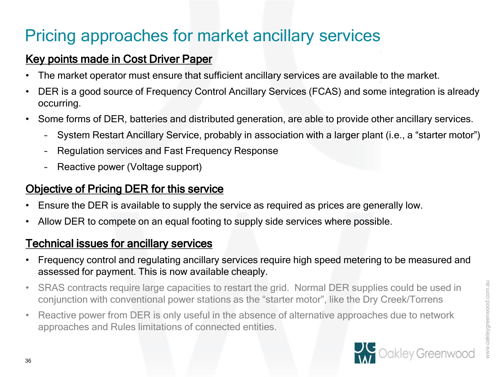# Pricing approaches for market ancillary services

### Key points made in Cost Driver Paper

- The market operator must ensure that sufficient ancillary services are available to the market.
- DER is a good source of Frequency Control Ancillary Services (FCAS) and some integration is already occurring.
- Some forms of DER, batteries and distributed generation, are able to provide other ancillary services.
	- System Restart Ancillary Service, probably in association with a larger plant (i.e., a "starter motor")
	- Regulation services and Fast Frequency Response
	- Reactive power (Voltage support)

### Objective of Pricing DER for this service

- Ensure the DER is available to supply the service as required as prices are generally low.
- Allow DER to compete on an equal footing to supply side services where possible.

### Technical issues for ancillary services

- Frequency control and regulating ancillary services require high speed metering to be measured and assessed for payment. This is now available cheaply.
- SRAS contracts require large capacities to restart the grid. Normal DER supplies could be used in conjunction with conventional power stations as the "starter motor", like the Dry Creek/Torrens
- Reactive power from DER is only useful in the absence of alternative approaches due to network approaches and Rules limitations of connected entities.

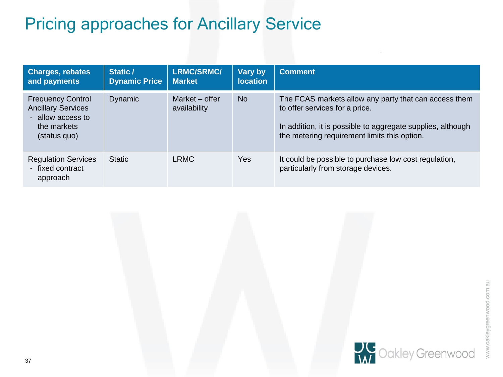## Pricing approaches for Ancillary Service

| <b>Charges, rebates</b><br>and payments                                                                   | Static /<br><b>Dynamic Price</b> | <b>LRMC/SRMC/</b><br><b>Market</b> | Vary by<br><b>location</b> | <b>Comment</b>                                                                                                                                                                                         |
|-----------------------------------------------------------------------------------------------------------|----------------------------------|------------------------------------|----------------------------|--------------------------------------------------------------------------------------------------------------------------------------------------------------------------------------------------------|
| <b>Frequency Control</b><br><b>Ancillary Services</b><br>- allow access to<br>the markets<br>(status quo) | Dynamic                          | Market – offer<br>availability     | N <sub>o</sub>             | The FCAS markets allow any party that can access them<br>to offer services for a price.<br>In addition, it is possible to aggregate supplies, although<br>the metering requirement limits this option. |
| <b>Regulation Services</b><br>- fixed contract<br>approach                                                | <b>Static</b>                    | <b>LRMC</b>                        | Yes                        | It could be possible to purchase low cost regulation,<br>particularly from storage devices.                                                                                                            |

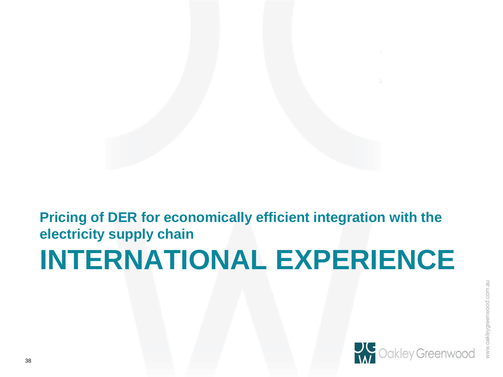# **INTERNATIONAL EXPERIENCE Pricing of DER for economically efficient integration with the electricity supply chain**

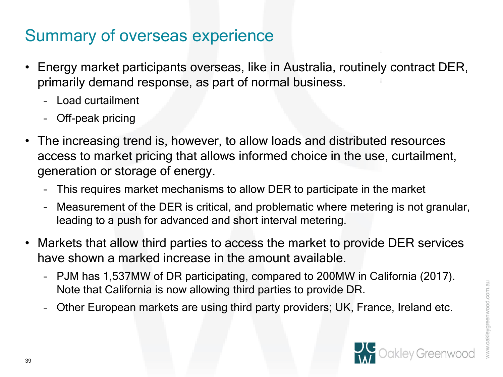### Summary of overseas experience

- Energy market participants overseas, like in Australia, routinely contract DER, primarily demand response, as part of normal business.
	- Load curtailment
	- Off-peak pricing
- The increasing trend is, however, to allow loads and distributed resources access to market pricing that allows informed choice in the use, curtailment, generation or storage of energy.
	- This requires market mechanisms to allow DER to participate in the market
	- Measurement of the DER is critical, and problematic where metering is not granular, leading to a push for advanced and short interval metering.
- Markets that allow third parties to access the market to provide DER services have shown a marked increase in the amount available.
	- PJM has 1,537MW of DR participating, compared to 200MW in California (2017). Note that California is now allowing third parties to provide DR.
	- Other European markets are using third party providers; UK, France, Ireland etc.

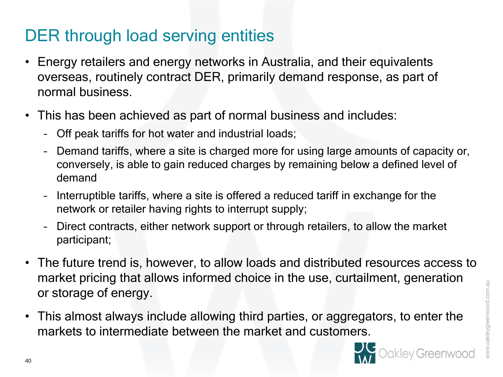### DER through load serving entities

- Energy retailers and energy networks in Australia, and their equivalents overseas, routinely contract DER, primarily demand response, as part of normal business.
- This has been achieved as part of normal business and includes:
	- Off peak tariffs for hot water and industrial loads;
	- Demand tariffs, where a site is charged more for using large amounts of capacity or, conversely, is able to gain reduced charges by remaining below a defined level of demand
	- Interruptible tariffs, where a site is offered a reduced tariff in exchange for the network or retailer having rights to interrupt supply;
	- Direct contracts, either network support or through retailers, to allow the market participant;
- The future trend is, however, to allow loads and distributed resources access to market pricing that allows informed choice in the use, curtailment, generation or storage of energy.
- This almost always include allowing third parties, or aggregators, to enter the markets to intermediate between the market and customers.

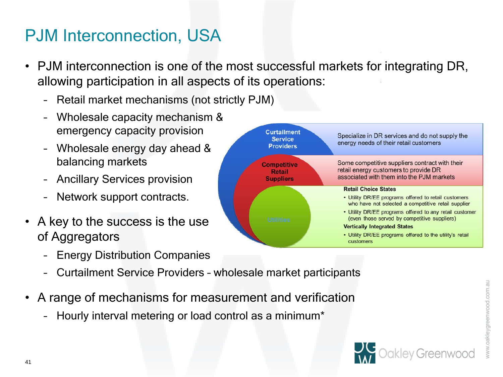### PJM Interconnection, USA

- PJM interconnection is one of the most successful markets for integrating DR, allowing participation in all aspects of its operations:
	- Retail market mechanisms (not strictly PJM)
	- Wholesale capacity mechanism & emergency capacity provision
	- Wholesale energy day ahead & balancing markets
	- Ancillary Services provision
	- Network support contracts.
- A key to the success is the use of Aggregators
	- Energy Distribution Companies
	- Curtailment Service Providers wholesale market participants
- A range of mechanisms for measurement and verification
	- Hourly interval metering or load control as a minimum\*



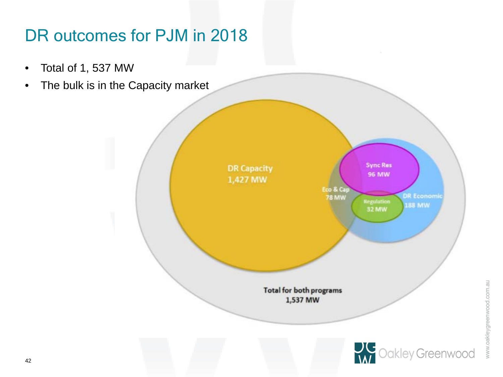## DR outcomes for PJM in 2018

- Total of 1, 537 MW
- The bulk is in the Capacity market

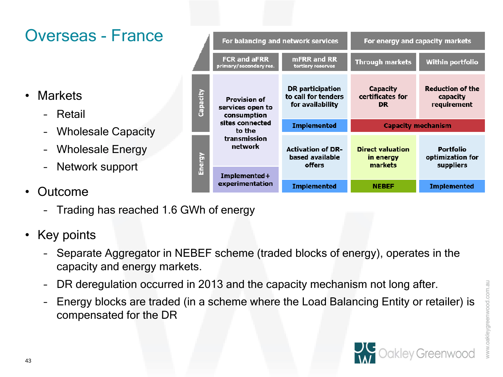www.oakleygreenwood.com.au

### Overseas - France

- Markets
	- Retail
	- Wholesale Capacity
	- Wholesale Energy
	- Network support
- Outcome
	- Trading has reached 1.6 GWh of energy
- Key points
	- Separate Aggregator in NEBEF scheme (traded blocks of energy), operates in the capacity and energy markets.
	- DR deregulation occurred in 2013 and the capacity mechanism not long after.
	- Energy blocks are traded (in a scheme where the Load Balancing Entity or retailer) is compensated for the DR
- 



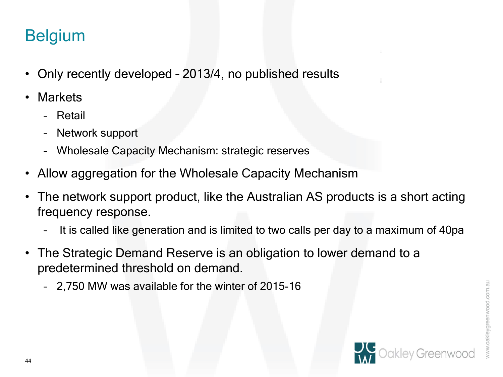### Belgium

- Only recently developed 2013/4, no published results
- **Markets** 
	- Retail
	- Network support
	- Wholesale Capacity Mechanism: strategic reserves
- Allow aggregation for the Wholesale Capacity Mechanism
- The network support product, like the Australian AS products is a short acting frequency response.
	- It is called like generation and is limited to two calls per day to a maximum of 40pa
- The Strategic Demand Reserve is an obligation to lower demand to a predetermined threshold on demand.
	- 2,750 MW was available for the winter of 2015-16

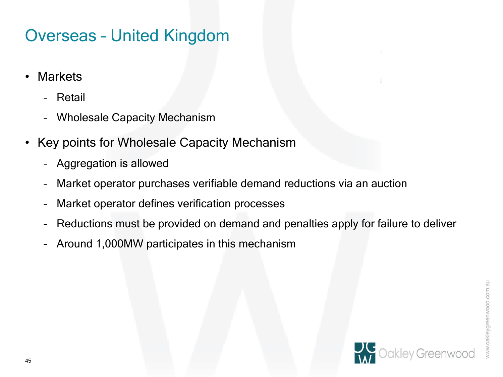### Overseas – United Kingdom

- Markets
	- Retail
	- Wholesale Capacity Mechanism
- Key points for Wholesale Capacity Mechanism
	- Aggregation is allowed
	- Market operator purchases verifiable demand reductions via an auction
	- Market operator defines verification processes
	- Reductions must be provided on demand and penalties apply for failure to deliver
	- Around 1,000MW participates in this mechanism

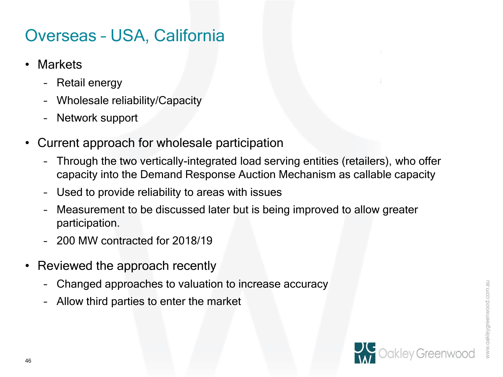### Overseas – USA, California

- Markets
	- Retail energy
	- Wholesale reliability/Capacity
	- Network support
- Current approach for wholesale participation
	- Through the two vertically-integrated load serving entities (retailers), who offer capacity into the Demand Response Auction Mechanism as callable capacity
	- Used to provide reliability to areas with issues
	- Measurement to be discussed later but is being improved to allow greater participation.
	- 200 MW contracted for 2018/19
- Reviewed the approach recently
	- Changed approaches to valuation to increase accuracy
	- Allow third parties to enter the market

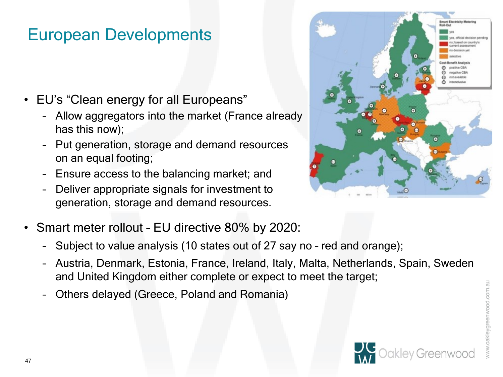### European Developments

- EU's "Clean energy for all Europeans"
	- Allow aggregators into the market (France already has this now);
	- Put generation, storage and demand resources on an equal footing;
	- Ensure access to the balancing market; and
	- Deliver appropriate signals for investment to generation, storage and demand resources.
- Smart meter rollout EU directive 80% by 2020:
	- Subject to value analysis (10 states out of 27 say no red and orange);
	- Austria, Denmark, Estonia, France, Ireland, Italy, Malta, Netherlands, Spain, Sweden and United Kingdom either complete or expect to meet the target;
	- Others delayed (Greece, Poland and Romania)





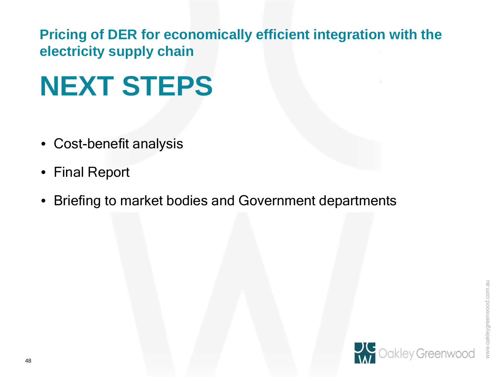**Pricing of DER for economically efficient integration with the electricity supply chain**

# **NEXT STEPS**

- Cost-benefit analysis
- Final Report
- Briefing to market bodies and Government departments